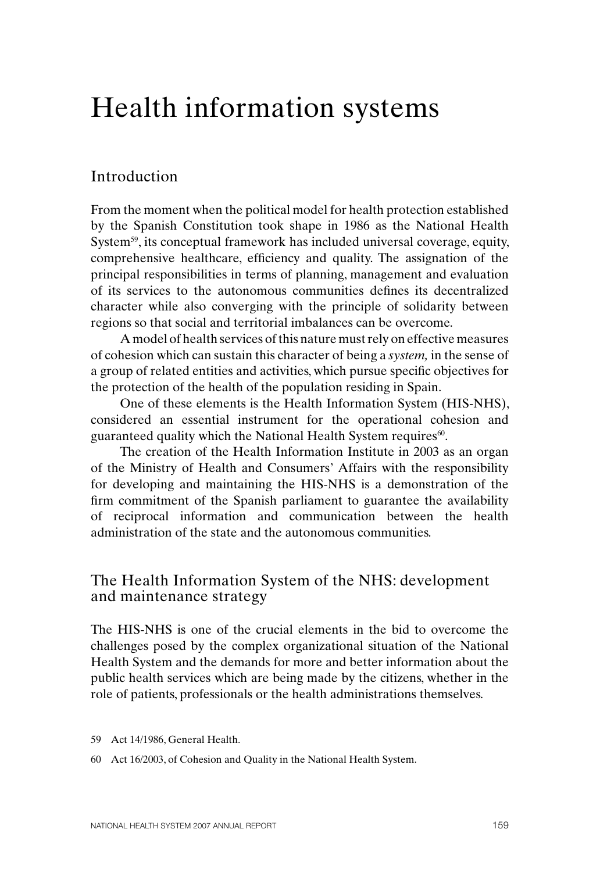# Health information systems

# Introduction

From the moment when the political model for health protection established by the Spanish Constitution took shape in 1986 as the National Health System<sup>59</sup>, its conceptual framework has included universal coverage, equity, comprehensive healthcare, efficiency and quality. The assignation of the principal responsibilities in terms of planning, management and evaluation of its services to the autonomous communities defines its decentralized character while also converging with the principle of solidarity between regions so that social and territorial imbalances can be overcome.

A model of health services of this nature must rely on effective measures of cohesion which can sustain this character of being a *system,* in the sense of a group of related entities and activities, which pursue specific objectives for the protection of the health of the population residing in Spain.

One of these elements is the Health Information System (HIS-NHS), considered an essential instrument for the operational cohesion and guaranteed quality which the National Health System requires<sup>60</sup>.

The creation of the Health Information Institute in 2003 as an organ of the Ministry of Health and Consumers' Affairs with the responsibility for developing and maintaining the HIS-NHS is a demonstration of the firm commitment of the Spanish parliament to guarantee the availability of reciprocal information and communication between the health administration of the state and the autonomous communities.

# The Health Information System of the NHS: development and maintenance strategy

The HIS-NHS is one of the crucial elements in the bid to overcome the challenges posed by the complex organizational situation of the National Health System and the demands for more and better information about the public health services which are being made by the citizens, whether in the role of patients, professionals or the health administrations themselves.

- 59 Act 14/1986, General Health.
- 60 Act 16/2003, of Cohesion and Quality in the National Health System.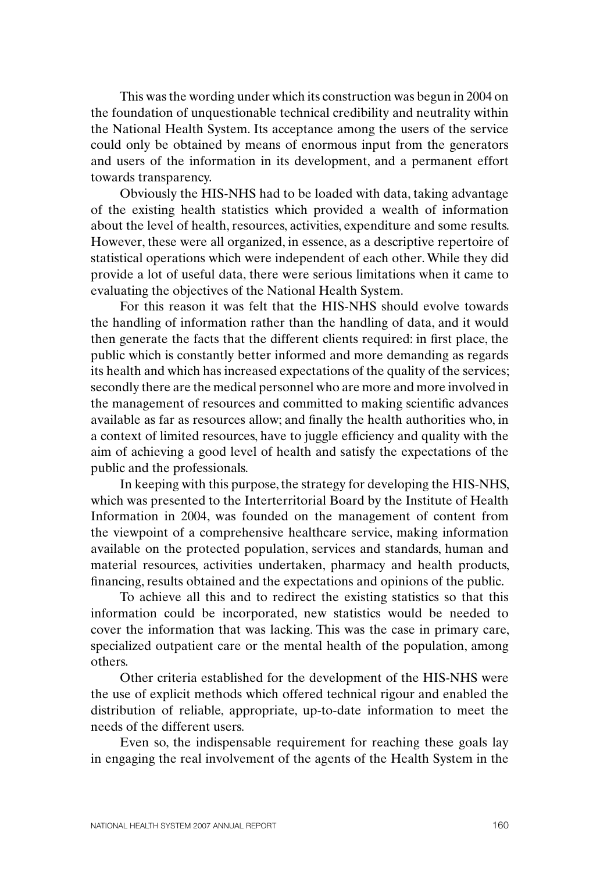This was the wording under which its construction was begun in 2004 on the foundation of unquestionable technical credibility and neutrality within the National Health System. Its acceptance among the users of the service could only be obtained by means of enormous input from the generators and users of the information in its development, and a permanent effort towards transparency.

Obviously the HIS-NHS had to be loaded with data, taking advantage of the existing health statistics which provided a wealth of information about the level of health, resources, activities, expenditure and some results. However, these were all organized, in essence, as a descriptive repertoire of statistical operations which were independent of each other. While they did provide a lot of useful data, there were serious limitations when it came to evaluating the objectives of the National Health System.

For this reason it was felt that the HIS-NHS should evolve towards the handling of information rather than the handling of data, and it would then generate the facts that the different clients required: in first place, the public which is constantly better informed and more demanding as regards its health and which has increased expectations of the quality of the services; secondly there are the medical personnel who are more and more involved in the management of resources and committed to making scientific advances available as far as resources allow; and finally the health authorities who, in a context of limited resources, have to juggle efficiency and quality with the aim of achieving a good level of health and satisfy the expectations of the public and the professionals.

In keeping with this purpose, the strategy for developing the HIS-NHS, which was presented to the Interterritorial Board by the Institute of Health Information in 2004, was founded on the management of content from the viewpoint of a comprehensive healthcare service, making information available on the protected population, services and standards, human and material resources, activities undertaken, pharmacy and health products, financing, results obtained and the expectations and opinions of the public.

To achieve all this and to redirect the existing statistics so that this information could be incorporated, new statistics would be needed to cover the information that was lacking. This was the case in primary care, specialized outpatient care or the mental health of the population, among others.

Other criteria established for the development of the HIS-NHS were the use of explicit methods which offered technical rigour and enabled the distribution of reliable, appropriate, up-to-date information to meet the needs of the different users.

Even so, the indispensable requirement for reaching these goals lay in engaging the real involvement of the agents of the Health System in the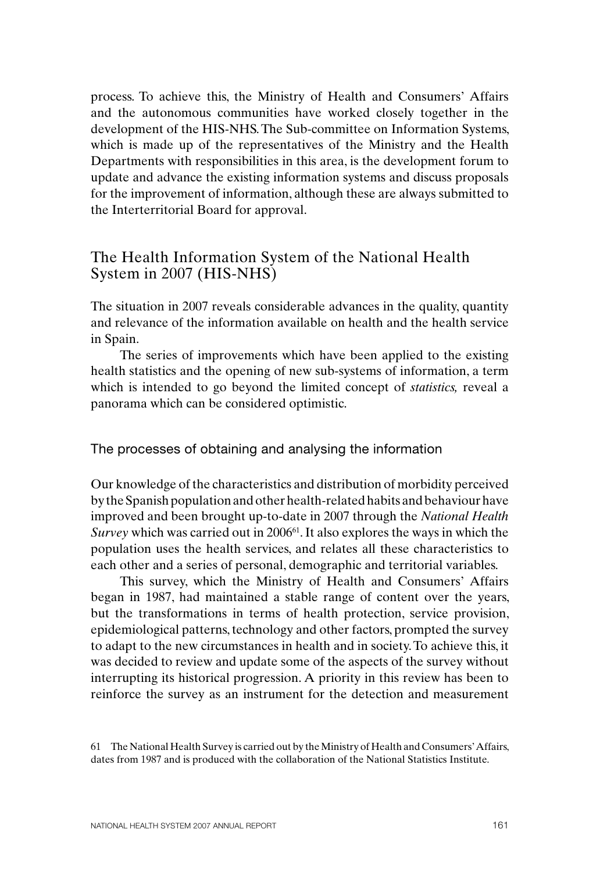process. To achieve this, the Ministry of Health and Consumers' Affairs and the autonomous communities have worked closely together in the development of the HIS-NHS. The Sub-committee on Information Systems, which is made up of the representatives of the Ministry and the Health Departments with responsibilities in this area, is the development forum to update and advance the existing information systems and discuss proposals for the improvement of information, although these are always submitted to the Interterritorial Board for approval.

# The Health Information System of the National Health System in 2007 (HIS-NHS)

The situation in 2007 reveals considerable advances in the quality, quantity and relevance of the information available on health and the health service in Spain.

The series of improvements which have been applied to the existing health statistics and the opening of new sub-systems of information, a term which is intended to go beyond the limited concept of *statistics,* reveal a panorama which can be considered optimistic.

The processes of obtaining and analysing the information

Our knowledge of the characteristics and distribution of morbidity perceived by the Spanish population and other health-related habits and behaviour have improved and been brought up-to-date in 2007 through the *National Health Survey* which was carried out in 2006<sup>61</sup>. It also explores the ways in which the population uses the health services, and relates all these characteristics to each other and a series of personal, demographic and territorial variables.

This survey, which the Ministry of Health and Consumers' Affairs began in 1987, had maintained a stable range of content over the years, but the transformations in terms of health protection, service provision, epidemiological patterns, technology and other factors, prompted the survey to adapt to the new circumstances in health and in society. To achieve this, it was decided to review and update some of the aspects of the survey without interrupting its historical progression. A priority in this review has been to reinforce the survey as an instrument for the detection and measurement

<sup>61</sup> The National Health Survey is carried out by the Ministry of Health and Consumers' Affairs, dates from 1987 and is produced with the collaboration of the National Statistics Institute.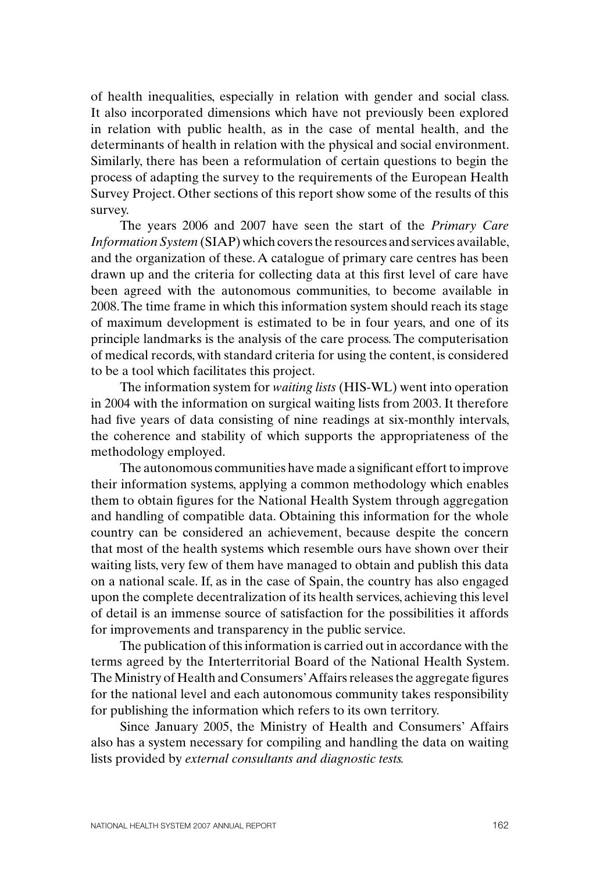of health inequalities, especially in relation with gender and social class. It also incorporated dimensions which have not previously been explored in relation with public health, as in the case of mental health, and the determinants of health in relation with the physical and social environment. Similarly, there has been a reformulation of certain questions to begin the process of adapting the survey to the requirements of the European Health Survey Project. Other sections of this report show some of the results of this survey.

The years 2006 and 2007 have seen the start of the *Primary Care Information System* (SIAP) which covers the resources and services available, and the organization of these. A catalogue of primary care centres has been drawn up and the criteria for collecting data at this first level of care have been agreed with the autonomous communities, to become available in 2008. The time frame in which this information system should reach its stage of maximum development is estimated to be in four years, and one of its principle landmarks is the analysis of the care process. The computerisation of medical records, with standard criteria for using the content, is considered to be a tool which facilitates this project.

The information system for *waiting lists* (HIS-WL) went into operation in 2004 with the information on surgical waiting lists from 2003. It therefore had five years of data consisting of nine readings at six-monthly intervals, the coherence and stability of which supports the appropriateness of the methodology employed.

The autonomous communities have made a significant effort to improve their information systems, applying a common methodology which enables them to obtain figures for the National Health System through aggregation and handling of compatible data. Obtaining this information for the whole country can be considered an achievement, because despite the concern that most of the health systems which resemble ours have shown over their waiting lists, very few of them have managed to obtain and publish this data on a national scale. If, as in the case of Spain, the country has also engaged upon the complete decentralization of its health services, achieving this level of detail is an immense source of satisfaction for the possibilities it affords for improvements and transparency in the public service.

The publication of this information is carried out in accordance with the terms agreed by the Interterritorial Board of the National Health System. The Ministry of Health and Consumers' Affairs releases the aggregate figures for the national level and each autonomous community takes responsibility for publishing the information which refers to its own territory.

Since January 2005, the Ministry of Health and Consumers' Affairs also has a system necessary for compiling and handling the data on waiting lists provided by *external consultants and diagnostic tests.*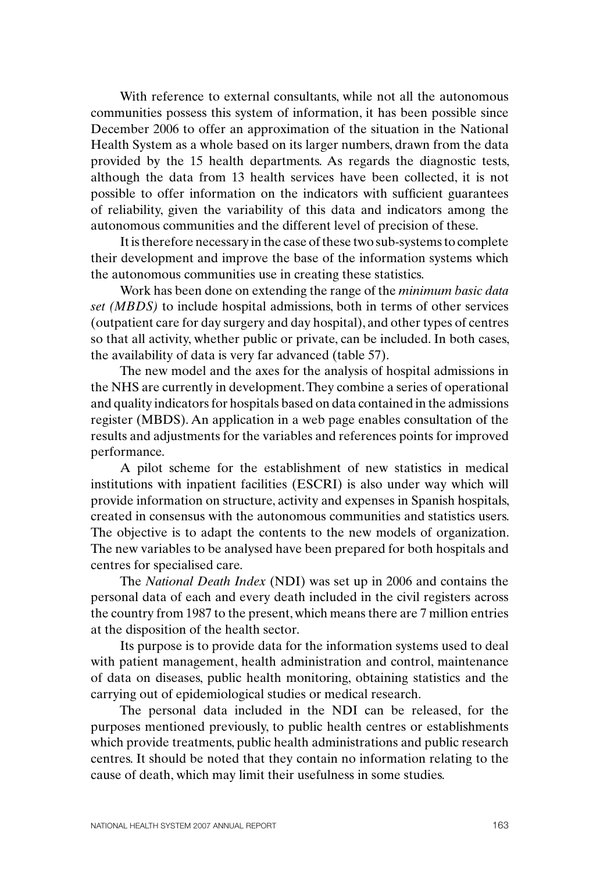With reference to external consultants, while not all the autonomous communities possess this system of information, it has been possible since December 2006 to offer an approximation of the situation in the National Health System as a whole based on its larger numbers, drawn from the data provided by the 15 health departments. As regards the diagnostic tests, although the data from 13 health services have been collected, it is not possible to offer information on the indicators with sufficient guarantees of reliability, given the variability of this data and indicators among the autonomous communities and the different level of precision of these.

It is therefore necessary in the case of these two sub-systems to complete their development and improve the base of the information systems which the autonomous communities use in creating these statistics.

Work has been done on extending the range of the *minimum basic data set (MBDS)* to include hospital admissions, both in terms of other services (outpatient care for day surgery and day hospital), and other types of centres so that all activity, whether public or private, can be included. In both cases, the availability of data is very far advanced (table 57).

The new model and the axes for the analysis of hospital admissions in the NHS are currently in development. They combine a series of operational and quality indicators for hospitals based on data contained in the admissions register (MBDS). An application in a web page enables consultation of the results and adjustments for the variables and references points for improved performance.

A pilot scheme for the establishment of new statistics in medical institutions with inpatient facilities (ESCRI) is also under way which will provide information on structure, activity and expenses in Spanish hospitals, created in consensus with the autonomous communities and statistics users. The objective is to adapt the contents to the new models of organization. The new variables to be analysed have been prepared for both hospitals and centres for specialised care.

The *National Death Index* (NDI) was set up in 2006 and contains the personal data of each and every death included in the civil registers across the country from 1987 to the present, which means there are 7 million entries at the disposition of the health sector.

Its purpose is to provide data for the information systems used to deal with patient management, health administration and control, maintenance of data on diseases, public health monitoring, obtaining statistics and the carrying out of epidemiological studies or medical research.

The personal data included in the NDI can be released, for the purposes mentioned previously, to public health centres or establishments which provide treatments, public health administrations and public research centres. It should be noted that they contain no information relating to the cause of death, which may limit their usefulness in some studies.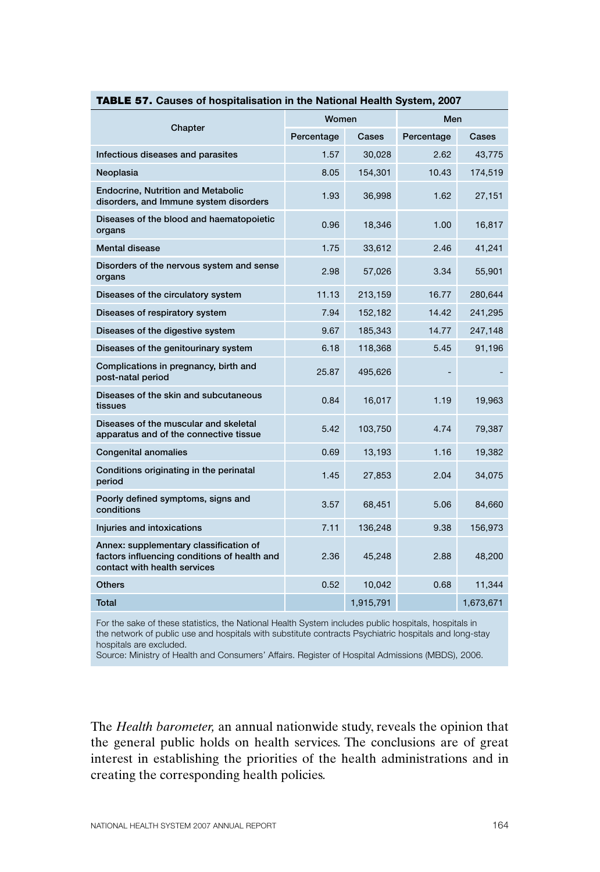| 71. Odušeš or nospitanšation in the National Health Oystem, Zo                                                         |            |           |            |           |  |
|------------------------------------------------------------------------------------------------------------------------|------------|-----------|------------|-----------|--|
| Chapter                                                                                                                | Women      |           | Men        |           |  |
|                                                                                                                        | Percentage | Cases     | Percentage | Cases     |  |
| Infectious diseases and parasites                                                                                      | 1.57       | 30,028    | 2.62       | 43,775    |  |
| Neoplasia                                                                                                              | 8.05       | 154,301   | 10.43      | 174,519   |  |
| <b>Endocrine, Nutrition and Metabolic</b><br>disorders, and Immune system disorders                                    | 1.93       | 36,998    | 1.62       | 27,151    |  |
| Diseases of the blood and haematopoietic<br>organs                                                                     | 0.96       | 18,346    | 1.00       | 16,817    |  |
| <b>Mental disease</b>                                                                                                  | 1.75       | 33,612    | 2.46       | 41,241    |  |
| Disorders of the nervous system and sense<br>organs                                                                    | 2.98       | 57,026    | 3.34       | 55,901    |  |
| Diseases of the circulatory system                                                                                     | 11.13      | 213,159   | 16.77      | 280,644   |  |
| Diseases of respiratory system                                                                                         | 7.94       | 152,182   | 14.42      | 241,295   |  |
| Diseases of the digestive system                                                                                       | 9.67       | 185,343   | 14.77      | 247,148   |  |
| Diseases of the genitourinary system                                                                                   | 6.18       | 118,368   | 5.45       | 91,196    |  |
| Complications in pregnancy, birth and<br>post-natal period                                                             | 25.87      | 495,626   |            |           |  |
| Diseases of the skin and subcutaneous<br>tissues                                                                       | 0.84       | 16,017    | 1.19       | 19,963    |  |
| Diseases of the muscular and skeletal<br>apparatus and of the connective tissue                                        | 5.42       | 103,750   | 4.74       | 79,387    |  |
| <b>Congenital anomalies</b>                                                                                            | 0.69       | 13,193    | 1.16       | 19,382    |  |
| Conditions originating in the perinatal<br>period                                                                      | 1.45       | 27,853    | 2.04       | 34,075    |  |
| Poorly defined symptoms, signs and<br>conditions                                                                       | 3.57       | 68,451    | 5.06       | 84,660    |  |
| Injuries and intoxications                                                                                             | 7.11       | 136,248   | 9.38       | 156,973   |  |
| Annex: supplementary classification of<br>factors influencing conditions of health and<br>contact with health services | 2.36       | 45,248    | 2.88       | 48,200    |  |
| <b>Others</b>                                                                                                          | 0.52       | 10,042    | 0.68       | 11,344    |  |
| Total                                                                                                                  |            | 1,915,791 |            | 1,673,671 |  |

## TABLE 57. **Causes of hospitalisation in the National Health System, 2007**

For the sake of these statistics, the National Health System includes public hospitals, hospitals in the network of public use and hospitals with substitute contracts Psychiatric hospitals and long-stay hospitals are excluded.

Source: Ministry of Health and Consumers' Affairs. Register of Hospital Admissions (MBDS), 2006.

The *Health barometer,* an annual nationwide study, reveals the opinion that the general public holds on health services. The conclusions are of great interest in establishing the priorities of the health administrations and in creating the corresponding health policies.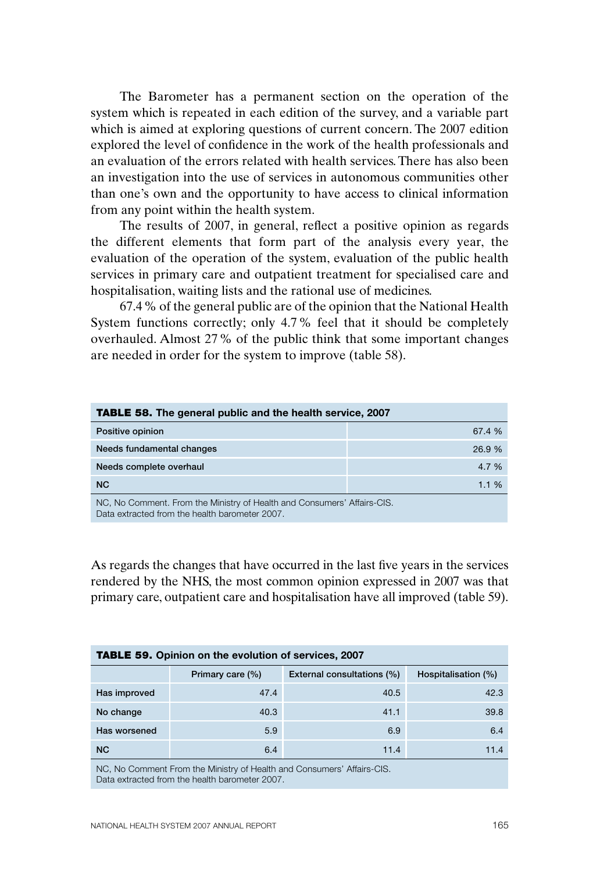The Barometer has a permanent section on the operation of the system which is repeated in each edition of the survey, and a variable part which is aimed at exploring questions of current concern. The 2007 edition explored the level of confidence in the work of the health professionals and an evaluation of the errors related with health services. There has also been an investigation into the use of services in autonomous communities other than one's own and the opportunity to have access to clinical information from any point within the health system.

The results of 2007, in general, reflect a positive opinion as regards the different elements that form part of the analysis every year, the evaluation of the operation of the system, evaluation of the public health services in primary care and outpatient treatment for specialised care and hospitalisation, waiting lists and the rational use of medicines.

67.4% of the general public are of the opinion that the National Health System functions correctly; only 4.7% feel that it should be completely overhauled. Almost 27% of the public think that some important changes are needed in order for the system to improve (table 58).

| <b>TABLE 58.</b> The general public and the health service, 2007     |          |  |  |
|----------------------------------------------------------------------|----------|--|--|
| Positive opinion                                                     | 67.4 %   |  |  |
| Needs fundamental changes                                            | 26.9 %   |  |  |
| Needs complete overhaul                                              | 4.7 %    |  |  |
| <b>NC</b>                                                            | $1.1 \%$ |  |  |
| NC No Commont From the Ministry of Hoalth and Consumers' Affairs CIS |          |  |  |

NC, No Comment. From the Ministry of Health and Consumers' Affairs-CIS. Data extracted from the health barometer 2007.

As regards the changes that have occurred in the last five years in the services rendered by the NHS, the most common opinion expressed in 2007 was that primary care, outpatient care and hospitalisation have all improved (table 59).

| <b>TABLE 59.</b> Opinion on the evolution of services, 2007 |                            |                     |  |  |  |
|-------------------------------------------------------------|----------------------------|---------------------|--|--|--|
| Primary care (%)                                            | External consultations (%) | Hospitalisation (%) |  |  |  |
| 47.4                                                        | 40.5                       | 42.3                |  |  |  |
| 40.3                                                        | 41.1                       | 39.8                |  |  |  |
| 5.9                                                         | 6.9                        | 6.4                 |  |  |  |
| 6.4                                                         | 11.4                       | 11.4                |  |  |  |
|                                                             |                            |                     |  |  |  |

NC, No Comment From the Ministry of Health and Consumers' Affairs-CIS. Data extracted from the health barometer 2007.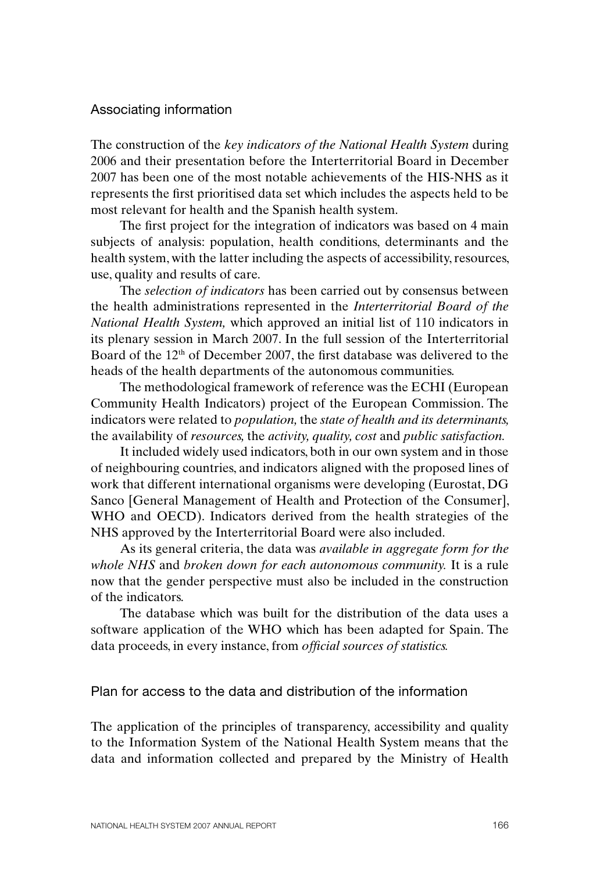### Associating information

The construction of the *key indicators of the National Health System* during 2006 and their presentation before the Interterritorial Board in December 2007 has been one of the most notable achievements of the HIS-NHS as it represents the first prioritised data set which includes the aspects held to be most relevant for health and the Spanish health system.

The first project for the integration of indicators was based on 4 main subjects of analysis: population, health conditions, determinants and the health system, with the latter including the aspects of accessibility, resources, use, quality and results of care.

The *selection of indicators* has been carried out by consensus between the health administrations represented in the *Interterritorial Board of the National Health System,* which approved an initial list of 110 indicators in its plenary session in March 2007. In the full session of the Interterritorial Board of the  $12<sup>th</sup>$  of December 2007, the first database was delivered to the heads of the health departments of the autonomous communities.

The methodological framework of reference was the ECHI (European Community Health Indicators) project of the European Commission. The indicators were related to *population,* the *state of health and its determinants,*  the availability of *resources,* the *activity, quality, cost* and *public satisfaction.*

It included widely used indicators, both in our own system and in those of neighbouring countries, and indicators aligned with the proposed lines of work that different international organisms were developing (Eurostat, DG Sanco [General Management of Health and Protection of the Consumer], WHO and OECD). Indicators derived from the health strategies of the NHS approved by the Interterritorial Board were also included.

As its general criteria, the data was *available in aggregate form for the whole NHS* and *broken down for each autonomous community.* It is a rule now that the gender perspective must also be included in the construction of the indicators.

The database which was built for the distribution of the data uses a software application of the WHO which has been adapted for Spain. The data proceeds, in every instance, from *official sources of statistics.* 

## Plan for access to the data and distribution of the information

The application of the principles of transparency, accessibility and quality to the Information System of the National Health System means that the data and information collected and prepared by the Ministry of Health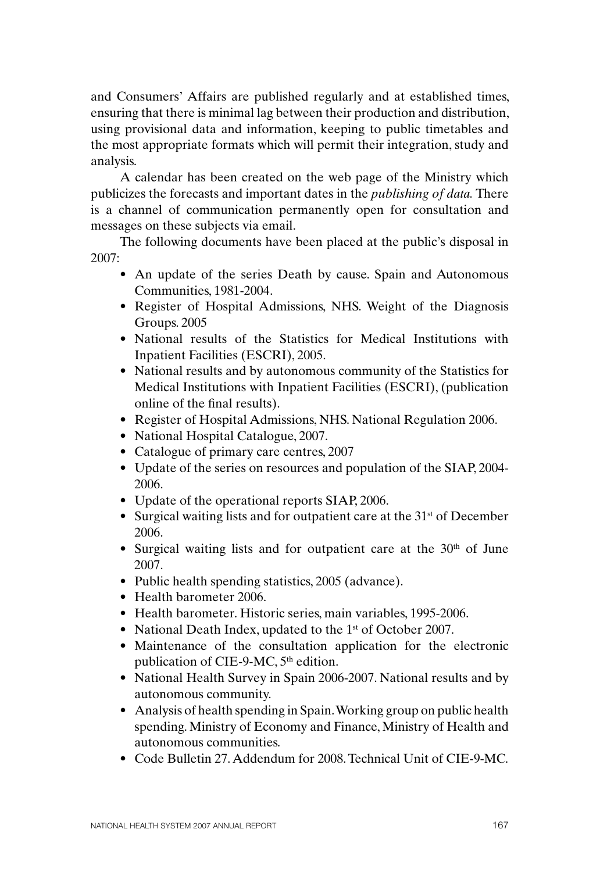and Consumers' Affairs are published regularly and at established times, ensuring that there is minimal lag between their production and distribution, using provisional data and information, keeping to public timetables and the most appropriate formats which will permit their integration, study and analysis.

A calendar has been created on the web page of the Ministry which publicizes the forecasts and important dates in the *publishing of data.* There is a channel of communication permanently open for consultation and messages on these subjects via email.

The following documents have been placed at the public's disposal in 2007:

- An update of the series Death by cause. Spain and Autonomous Communities, 1981-2004.
- Register of Hospital Admissions, NHS. Weight of the Diagnosis Groups. 2005
- National results of the Statistics for Medical Institutions with Inpatient Facilities (ESCRI), 2005.
- National results and by autonomous community of the Statistics for Medical Institutions with Inpatient Facilities (ESCRI), (publication online of the final results).
- Register of Hospital Admissions, NHS. National Regulation 2006.
- National Hospital Catalogue, 2007.
- Catalogue of primary care centres, 2007
- Update of the series on resources and population of the SIAP, 2004-2006.
- Update of the operational reports SIAP, 2006.
- Surgical waiting lists and for outpatient care at the  $31<sup>st</sup>$  of December 2006.
- Surgical waiting lists and for outpatient care at the  $30<sup>th</sup>$  of June 2007.
- Public health spending statistics, 2005 (advance).
- Health barometer 2006
- • Health barometer. Historic series, main variables, 1995-2006.
- National Death Index, updated to the 1<sup>st</sup> of October 2007.
- • Maintenance of the consultation application for the electronic publication of CIE-9-MC,  $5<sup>th</sup>$  edition.
- National Health Survey in Spain 2006-2007. National results and by autonomous community.
- Analysis of health spending in Spain. Working group on public health spending. Ministry of Economy and Finance, Ministry of Health and autonomous communities.
- • Code Bulletin 27.Addendum for 2008.Technical Unit of CIE-9-MC.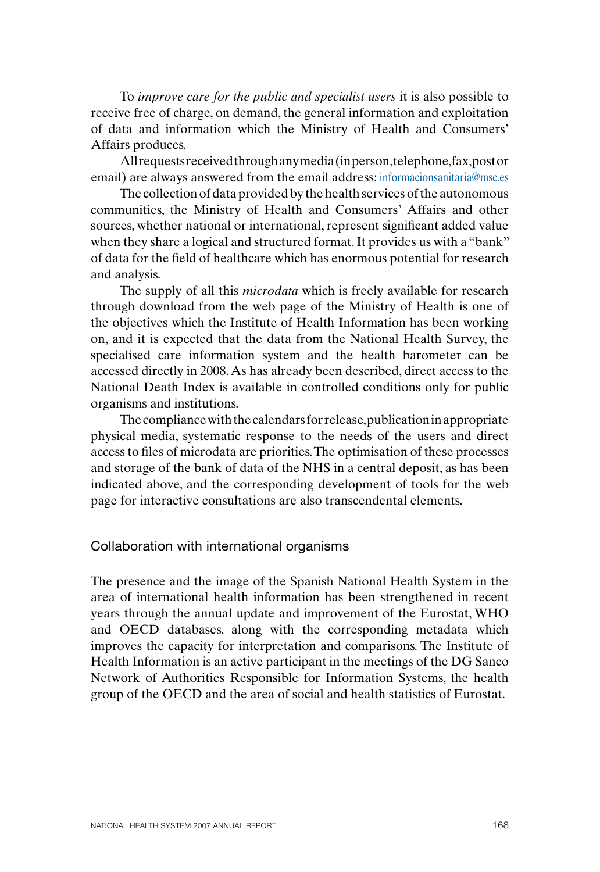To *improve care for the public and specialist users* it is also possible to receive free of charge, on demand, the general information and exploitation of data and information which the Ministry of Health and Consumers' Affairs produces.

All requests received through any media (in person, telephone, fax, post or email) are always answered from the email address: informacionsanitaria@msc.es

The collection of data provided by the health services of the autonomous communities, the Ministry of Health and Consumers' Affairs and other sources, whether national or international, represent significant added value when they share a logical and structured format. It provides us with a "bank" of data for the field of healthcare which has enormous potential for research and analysis.

The supply of all this *microdata* which is freely available for research through download from the web page of the Ministry of Health is one of the objectives which the Institute of Health Information has been working on, and it is expected that the data from the National Health Survey, the specialised care information system and the health barometer can be accessed directly in 2008. As has already been described, direct access to the National Death Index is available in controlled conditions only for public organisms and institutions.

The compliance with the calendars for release, publication in appropriate physical media, systematic response to the needs of the users and direct access to files of microdata are priorities. The optimisation of these processes and storage of the bank of data of the NHS in a central deposit, as has been indicated above, and the corresponding development of tools for the web page for interactive consultations are also transcendental elements.

Collaboration with international organisms

The presence and the image of the Spanish National Health System in the area of international health information has been strengthened in recent years through the annual update and improvement of the Eurostat, WHO and OECD databases, along with the corresponding metadata which improves the capacity for interpretation and comparisons. The Institute of Health Information is an active participant in the meetings of the DG Sanco Network of Authorities Responsible for Information Systems, the health group of the OECD and the area of social and health statistics of Eurostat.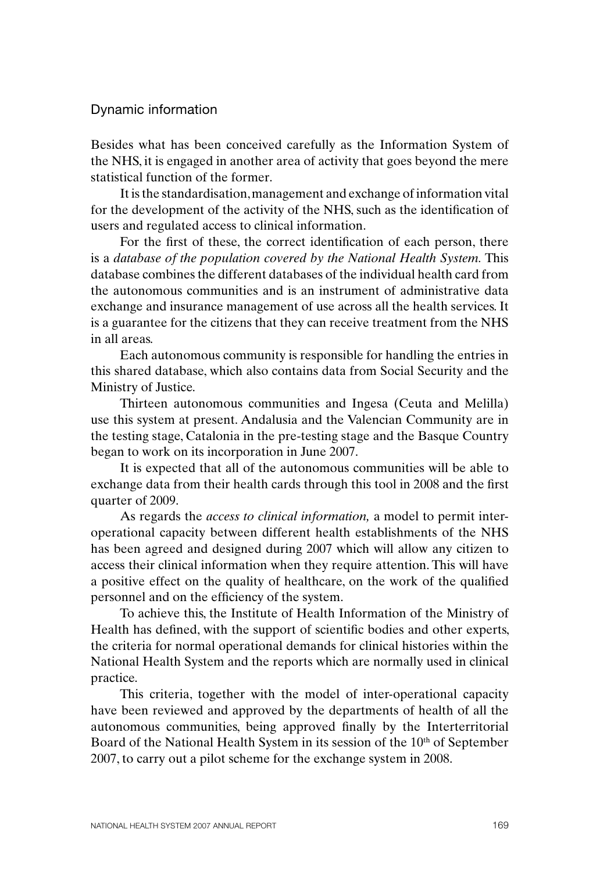### Dynamic information

Besides what has been conceived carefully as the Information System of the NHS, it is engaged in another area of activity that goes beyond the mere statistical function of the former.

It is the standardisation, management and exchange of information vital for the development of the activity of the NHS, such as the identification of users and regulated access to clinical information.

For the first of these, the correct identification of each person, there is a *database of the population covered by the National Health System.* This database combines the different databases of the individual health card from the autonomous communities and is an instrument of administrative data exchange and insurance management of use across all the health services. It is a guarantee for the citizens that they can receive treatment from the NHS in all areas.

Each autonomous community is responsible for handling the entries in this shared database, which also contains data from Social Security and the Ministry of Justice.

Thirteen autonomous communities and Ingesa (Ceuta and Melilla) use this system at present. Andalusia and the Valencian Community are in the testing stage, Catalonia in the pre-testing stage and the Basque Country began to work on its incorporation in June 2007.

It is expected that all of the autonomous communities will be able to exchange data from their health cards through this tool in 2008 and the first quarter of 2009.

As regards the *access to clinical information,* a model to permit interoperational capacity between different health establishments of the NHS has been agreed and designed during 2007 which will allow any citizen to access their clinical information when they require attention. This will have a positive effect on the quality of healthcare, on the work of the qualified personnel and on the efficiency of the system.

To achieve this, the Institute of Health Information of the Ministry of Health has defined, with the support of scientific bodies and other experts, the criteria for normal operational demands for clinical histories within the National Health System and the reports which are normally used in clinical practice.

This criteria, together with the model of inter-operational capacity have been reviewed and approved by the departments of health of all the autonomous communities, being approved finally by the Interterritorial Board of the National Health System in its session of the 10<sup>th</sup> of September 2007, to carry out a pilot scheme for the exchange system in 2008.